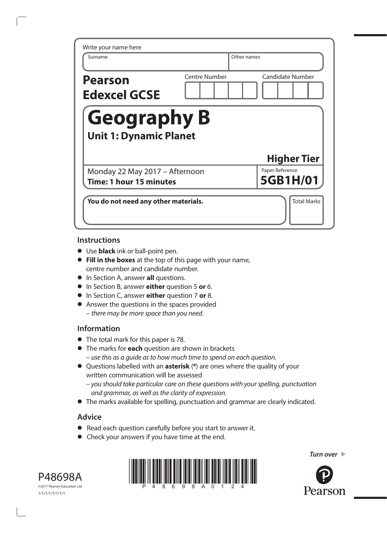| Surname                                                   | Other names          |                             |
|-----------------------------------------------------------|----------------------|-----------------------------|
| <b>Pearson</b><br><b>Edexcel GCSE</b>                     | <b>Centre Number</b> | <b>Candidate Number</b>     |
| <b>Geography B</b><br><b>Unit 1: Dynamic Planet</b>       |                      |                             |
|                                                           |                      |                             |
|                                                           |                      | <b>Higher Tier</b>          |
| Monday 22 May 2017 - Afternoon<br>Time: 1 hour 15 minutes |                      | Paper Reference<br>5GB1H/01 |

## **Instructions**

- **•** Use **black** ink or ball-point pen.
- **• Fill in the boxes** at the top of this page with your name, centre number and candidate number.
- **•** In Section A, answer **all** questions.
- **•** In Section B, answer **either** question 5 **or** 6.
- **•** In Section C, answer **either** question 7 **or** 8.
- **•** Answer the questions in the spaces provided – *there may be more space than you need*.

## **Information**

- **•** The total mark for this paper is 78.
- **•** The marks for **each** question are shown in brackets *– use this as a guide as to how much time to spend on each question.*
- **•** Questions labelled with an **asterisk** (**\***) are ones where the quality of your written communication will be assessed
	- *you should take particular care on these questions with your spelling, punctuation and grammar, as well as the clarity of expression.*
- **•** The marks available for spelling, punctuation and grammar are clearly indicated.

# **Advice**

- **•** Read each question carefully before you start to answer it.
- **•** Check your answers if you have time at the end.







*Turn over Turn over*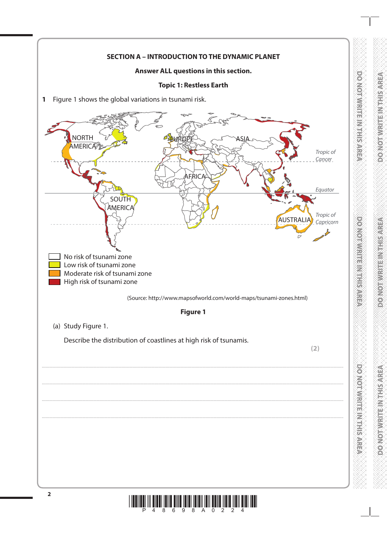

**DO NOLWARDED VEHSARE**A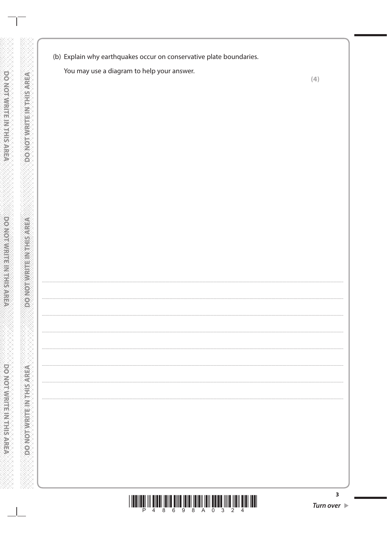(b) Explain why earthquakes occur on conservative plate boundaries.

You may use a diagram to help your answer.

DO NOT WRITE IN THIS AREA

**DO NOT WRITE INTHIS AREA** 

**DO NOT WRITE IN THIS AREA** 

 $(4)$ 



 $\overline{\mathbf{3}}$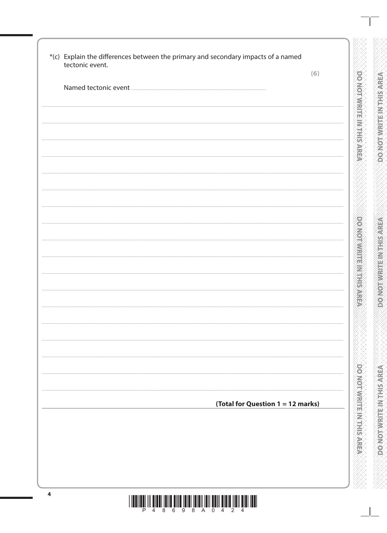| tectonic event. | (6)                               |
|-----------------|-----------------------------------|
|                 |                                   |
|                 |                                   |
|                 |                                   |
|                 |                                   |
|                 |                                   |
|                 |                                   |
|                 |                                   |
|                 |                                   |
|                 |                                   |
|                 |                                   |
|                 |                                   |
|                 |                                   |
|                 |                                   |
|                 |                                   |
|                 |                                   |
|                 |                                   |
|                 |                                   |
|                 |                                   |
|                 |                                   |
|                 |                                   |
|                 |                                   |
|                 |                                   |
|                 | (Total for Question 1 = 12 marks) |
|                 |                                   |
|                 |                                   |
|                 |                                   |
|                 |                                   |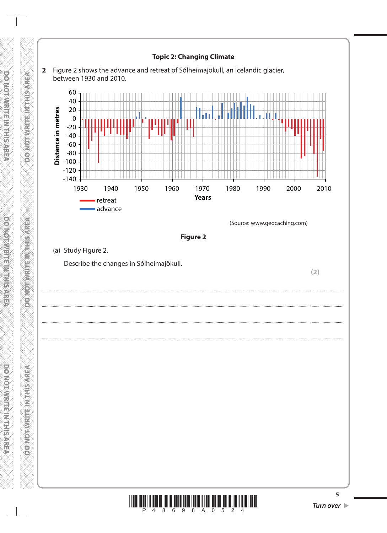

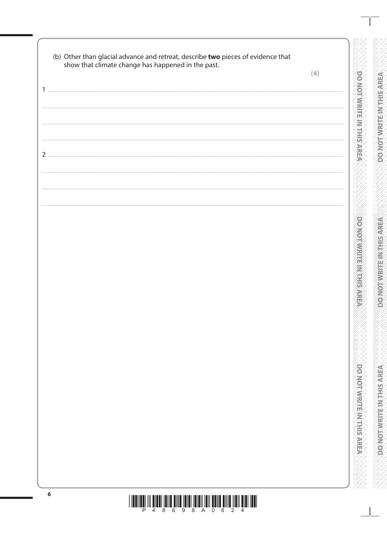| (b) Other than glacial advance and retreat, describe two pieces of evidence that | show that climate change has happened in the past. | (4) |
|----------------------------------------------------------------------------------|----------------------------------------------------|-----|
|                                                                                  |                                                    |     |
|                                                                                  |                                                    |     |
|                                                                                  |                                                    |     |
|                                                                                  |                                                    |     |
|                                                                                  |                                                    |     |
|                                                                                  |                                                    |     |
|                                                                                  |                                                    |     |
|                                                                                  |                                                    |     |
|                                                                                  |                                                    |     |
|                                                                                  |                                                    |     |
|                                                                                  |                                                    |     |
|                                                                                  |                                                    |     |
|                                                                                  |                                                    |     |
|                                                                                  |                                                    |     |
|                                                                                  |                                                    |     |
|                                                                                  |                                                    |     |
|                                                                                  |                                                    |     |
|                                                                                  |                                                    |     |
|                                                                                  |                                                    |     |
|                                                                                  |                                                    |     |
|                                                                                  |                                                    |     |
|                                                                                  |                                                    |     |
|                                                                                  |                                                    |     |
|                                                                                  |                                                    |     |
|                                                                                  |                                                    |     |
|                                                                                  |                                                    |     |
|                                                                                  |                                                    |     |
|                                                                                  |                                                    |     |
|                                                                                  |                                                    |     |
|                                                                                  |                                                    |     |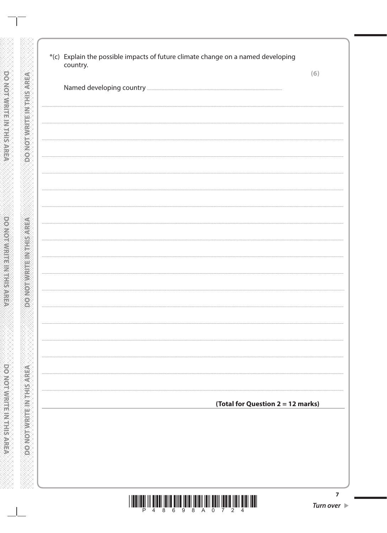| (6)                               |
|-----------------------------------|
|                                   |
|                                   |
|                                   |
|                                   |
|                                   |
|                                   |
|                                   |
|                                   |
|                                   |
|                                   |
|                                   |
|                                   |
|                                   |
|                                   |
|                                   |
|                                   |
|                                   |
|                                   |
|                                   |
|                                   |
|                                   |
|                                   |
| (Total for Question 2 = 12 marks) |
|                                   |
|                                   |
|                                   |
|                                   |
|                                   |

**DONOTWRITE IN THIS AREA** 

**DO NOT WRITEIN THIS AREA** 

**CONOTWRITEIN THIS AREA**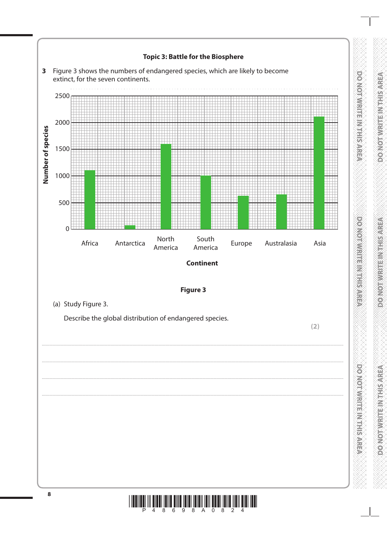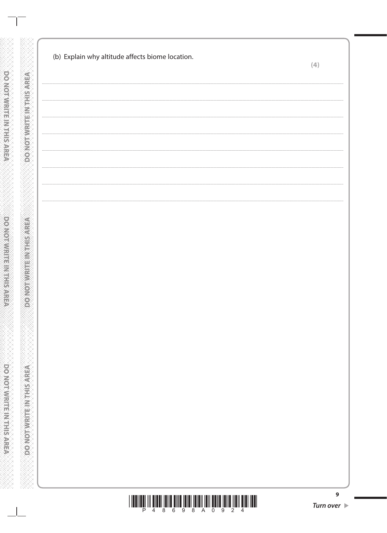| (b) Explain why altitude affects biome location. | (4)                             |
|--------------------------------------------------|---------------------------------|
|                                                  |                                 |
|                                                  |                                 |
|                                                  |                                 |
|                                                  |                                 |
|                                                  |                                 |
|                                                  |                                 |
|                                                  |                                 |
|                                                  |                                 |
|                                                  |                                 |
|                                                  |                                 |
|                                                  |                                 |
|                                                  |                                 |
|                                                  |                                 |
|                                                  |                                 |
|                                                  |                                 |
|                                                  |                                 |
|                                                  |                                 |
|                                                  |                                 |
|                                                  |                                 |
|                                                  |                                 |
|                                                  |                                 |
|                                                  |                                 |
|                                                  |                                 |
|                                                  |                                 |
|                                                  |                                 |
|                                                  |                                 |
|                                                  | Turn over $\blacktriangleright$ |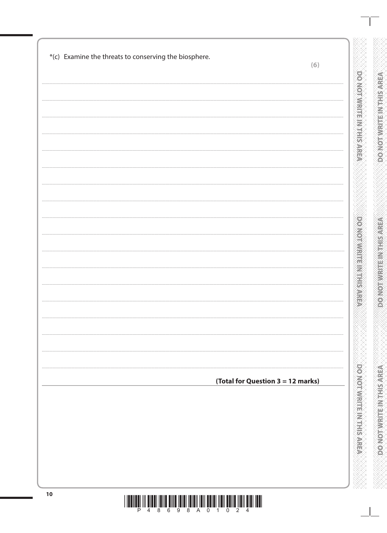|                                   | (6) |
|-----------------------------------|-----|
|                                   | .   |
|                                   |     |
|                                   |     |
|                                   |     |
|                                   |     |
|                                   |     |
|                                   |     |
|                                   |     |
|                                   |     |
| (Total for Question 3 = 12 marks) |     |
|                                   |     |
|                                   |     |
|                                   |     |
|                                   |     |

 $\frac{1}{2}\left\|\left[\begin{array}{c}1\end{array}\right]\begin{array}{c}1\end{array}\right]\begin{array}{c}1\end{array}\begin{array}{c}1\end{array}\begin{array}{c}1\end{array}\begin{array}{c}\end{array}\begin{array}{c}\end{array}\begin{array}{c}\end{array}\begin{array}{c}\end{array}\begin{array}{c}\end{array}\begin{array}{c}\end{array}\begin{array}{c}\end{array}\begin{array}{c}\end{array}\begin{array}{c}\end{array}\begin{array}{c}\end{array}\begin{array}{c}\end{array}\begin{array}{c}\end{array}\begin{array}{c}\end{array}\begin{array}{c}\end{array}\begin{array}{$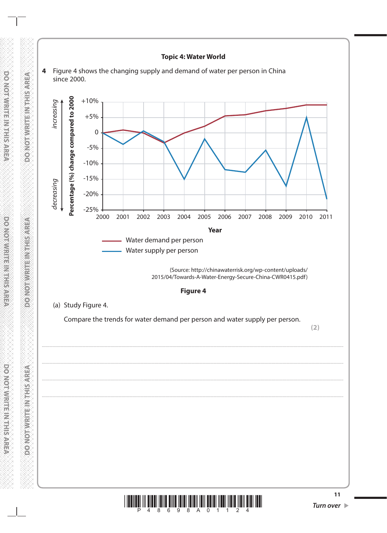

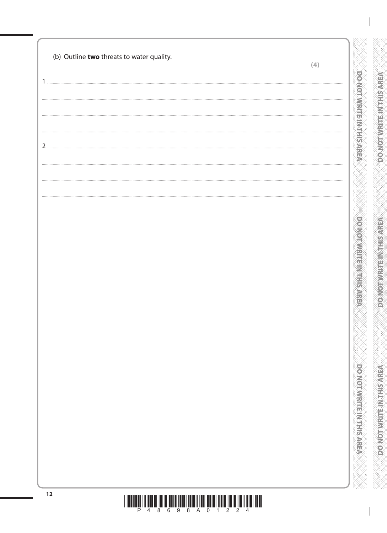| (b) Outline two threats to water quality. | (4) |
|-------------------------------------------|-----|
|                                           |     |
|                                           | .   |
|                                           |     |
|                                           |     |
|                                           |     |
|                                           |     |
|                                           |     |
|                                           |     |
|                                           |     |
|                                           |     |
|                                           |     |
|                                           |     |
|                                           |     |
|                                           |     |
|                                           |     |
|                                           |     |
|                                           |     |
|                                           |     |
|                                           |     |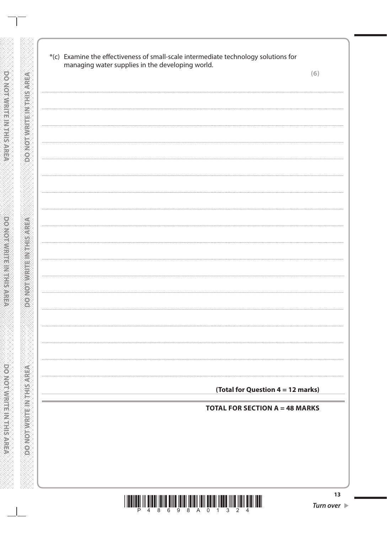| managing water supplies in the developing world. |                                       | (6)                               |
|--------------------------------------------------|---------------------------------------|-----------------------------------|
|                                                  |                                       |                                   |
|                                                  |                                       |                                   |
|                                                  |                                       |                                   |
|                                                  |                                       |                                   |
|                                                  |                                       |                                   |
|                                                  |                                       |                                   |
|                                                  |                                       |                                   |
|                                                  |                                       |                                   |
|                                                  |                                       |                                   |
|                                                  |                                       |                                   |
|                                                  |                                       |                                   |
|                                                  |                                       |                                   |
|                                                  |                                       |                                   |
|                                                  |                                       |                                   |
|                                                  |                                       |                                   |
|                                                  |                                       |                                   |
|                                                  |                                       |                                   |
|                                                  |                                       |                                   |
|                                                  |                                       |                                   |
|                                                  |                                       |                                   |
|                                                  |                                       |                                   |
|                                                  |                                       |                                   |
|                                                  |                                       |                                   |
|                                                  |                                       | (Total for Question 4 = 12 marks) |
|                                                  | <b>TOTAL FOR SECTION A = 48 MARKS</b> |                                   |
|                                                  |                                       |                                   |
|                                                  |                                       |                                   |
|                                                  |                                       |                                   |
|                                                  |                                       |                                   |
|                                                  |                                       |                                   |

**DONOT WRITE IN THIS AREA** 

**PONOTWRITEINTHIS AREA** 

**CONCING TWRITE IN THIS AREA** 

 $\begin{array}{c} \hbox{||l||l||l||} \hbox{||l||l||} \hbox{||l||l||} \hbox{||l||l||} \hbox{||l||l||} \hbox{||l||l||} \hbox{||l||l||} \hbox{||l||l||} \hbox{||l||l||} \hbox{||l||l||} \hbox{||l||l||} \hbox{||l||l||} \hbox{||l||l||} \hbox{||l||l||} \hbox{||l||l||} \hbox{||l||l||} \hbox{||l||l||} \hbox{||l||l||} \hbox{||l||l||} \hbox{||l||l||} \hbox{||l||l||} \$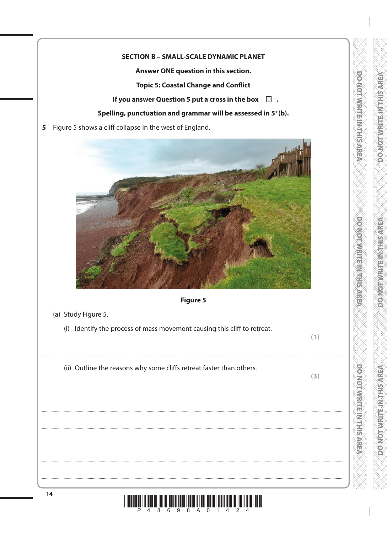## **SECTION B - SMALL-SCALE DYNAMIC PLANET**

Answer ONE question in this section.

**Topic 5: Coastal Change and Conflict** 

If you answer Question 5 put a cross in the box  $\Box$ .

## Spelling, punctuation and grammar will be assessed in 5\*(b).

5 Figure 5 shows a cliff collapse in the west of England.



## Figure 5

- (a) Study Figure 5.
	- (i) Identify the process of mass movement causing this cliff to retreat.

 $(1)$ 

**DOMOT MRITEMATHIS AREA** 

**PONORMENTED REPARE** 

**DO NOTAWRITED VEHISARE** 

(ii) Outline the reasons why some cliffs retreat faster than others.

 $(3)$ 

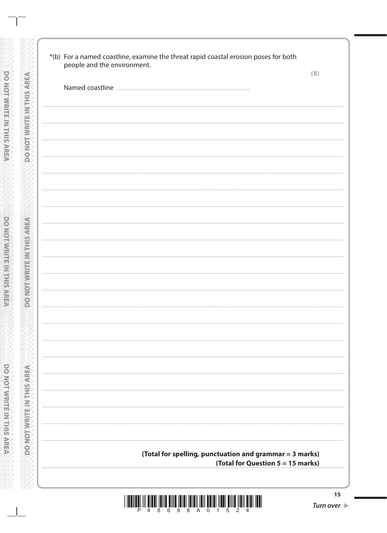|                                                         | (8) |
|---------------------------------------------------------|-----|
|                                                         |     |
|                                                         |     |
|                                                         |     |
|                                                         |     |
|                                                         |     |
|                                                         |     |
|                                                         |     |
|                                                         |     |
|                                                         |     |
|                                                         |     |
|                                                         |     |
|                                                         |     |
|                                                         |     |
|                                                         |     |
|                                                         |     |
|                                                         |     |
|                                                         |     |
|                                                         |     |
|                                                         |     |
|                                                         |     |
|                                                         |     |
|                                                         |     |
|                                                         |     |
|                                                         |     |
|                                                         |     |
|                                                         |     |
|                                                         |     |
|                                                         |     |
| (Total for spelling, punctuation and grammar = 3 marks) |     |

DO NOTWRITE M THIS AREA

**DOMOT WRITEINTHIS AREA** 

**DOMOTWRITE IN THIS AREA** 

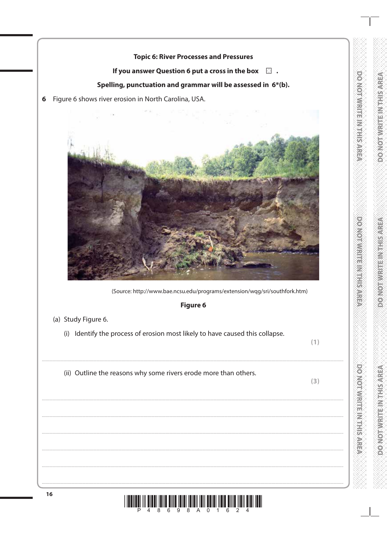## **Topic 6: River Processes and Pressures**

#### If you answer Question 6 put a cross in the box  $\Box$ .

## Spelling, punctuation and grammar will be assessed in 6\*(b).

6 Figure 6 shows river erosion in North Carolina, USA.



(Source: http://www.bae.ncsu.edu/programs/extension/wqg/sri/southfork.htm)

#### Figure 6

- (a) Study Figure 6.
	- (i) Identify the process of erosion most likely to have caused this collapse.

 $(1)$ 

DO NOT WRITE MYTHIS AREA

**DONOINVERTING SARE** 

**DO NOINWARE INSTRUSTION** 

(ii) Outline the reasons why some rivers erode more than others.

 $(3)$ 

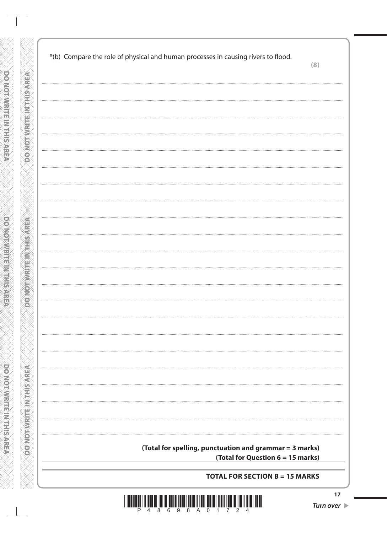| *(b) Compare the role of physical and human processes in causing rivers to flood. |                                                         | (8) |
|-----------------------------------------------------------------------------------|---------------------------------------------------------|-----|
|                                                                                   |                                                         |     |
|                                                                                   |                                                         |     |
|                                                                                   |                                                         |     |
|                                                                                   |                                                         |     |
|                                                                                   |                                                         |     |
|                                                                                   |                                                         |     |
|                                                                                   |                                                         |     |
|                                                                                   |                                                         |     |
|                                                                                   |                                                         |     |
|                                                                                   |                                                         |     |
|                                                                                   |                                                         |     |
|                                                                                   |                                                         |     |
|                                                                                   |                                                         |     |
|                                                                                   |                                                         |     |
|                                                                                   |                                                         |     |
|                                                                                   |                                                         |     |
|                                                                                   |                                                         |     |
|                                                                                   |                                                         |     |
|                                                                                   |                                                         |     |
|                                                                                   |                                                         |     |
|                                                                                   |                                                         |     |
|                                                                                   |                                                         |     |
|                                                                                   |                                                         |     |
|                                                                                   |                                                         |     |
|                                                                                   |                                                         |     |
|                                                                                   |                                                         |     |
|                                                                                   | (Total for spelling, punctuation and grammar = 3 marks) |     |
|                                                                                   | (Total for Question 6 = 15 marks)                       |     |

WWW.WWW.WWWWWWWWWWWWWWW

-888

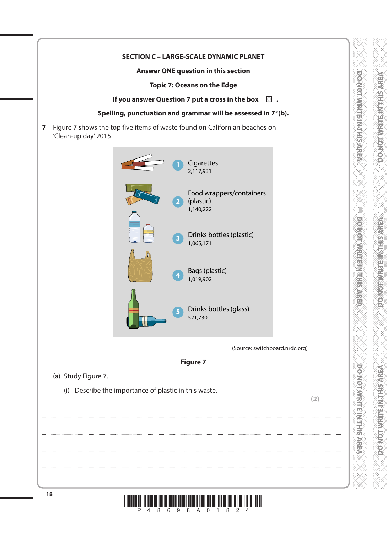## **SECTION C - LARGE-SCALE DYNAMIC PLANET**

### Answer ONE question in this section

**Topic 7: Oceans on the Edge** 

If you answer Question 7 put a cross in the box  $\Box$ .

### Spelling, punctuation and grammar will be assessed in 7\*(b).

Figure 7 shows the top five items of waste found on Californian beaches on  $\overline{7}$ 'Clean-up day' 2015.





(a) Study Figure 7.

(i) Describe the importance of plastic in this waste.

 $(2)$ 

DO NOT MRITE IN THIS AREA

**DO NOI MENTE IN THIS AREA** 

**DO NOI WARTER NOISARE**A

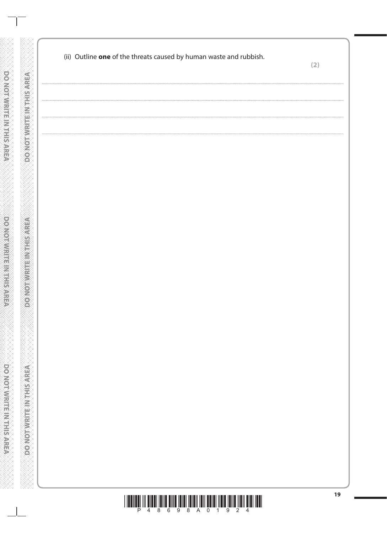|                                  | (ii) Outline one of the threats caused by human waste and rubbish. | (2) |
|----------------------------------|--------------------------------------------------------------------|-----|
| DONOT WRITE IN THIS AREA         | $\cdots$                                                           |     |
|                                  |                                                                    |     |
|                                  |                                                                    |     |
| <b>DO NOT WELFT IN STRESS</b>    |                                                                    |     |
|                                  |                                                                    |     |
|                                  |                                                                    |     |
| <b>DO NOT WRITE IN THIS AREA</b> |                                                                    |     |
|                                  |                                                                    |     |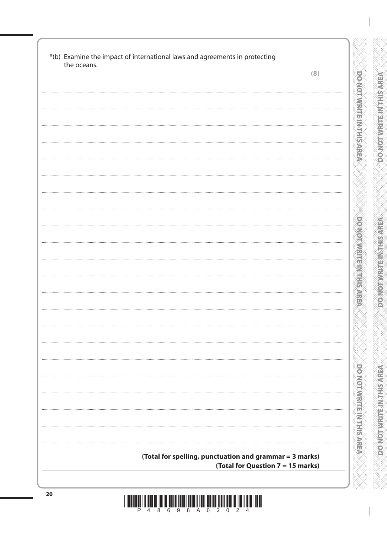| the oceans. | *(b) Examine the impact of international laws and agreements in protecting |
|-------------|----------------------------------------------------------------------------|
|             | (8)                                                                        |
|             |                                                                            |
|             |                                                                            |
|             |                                                                            |
|             |                                                                            |
|             |                                                                            |
|             |                                                                            |
|             |                                                                            |
|             |                                                                            |
|             |                                                                            |
|             |                                                                            |
|             |                                                                            |
|             |                                                                            |
|             |                                                                            |
|             |                                                                            |
|             |                                                                            |
|             |                                                                            |
|             |                                                                            |
|             |                                                                            |
|             |                                                                            |
|             |                                                                            |
|             |                                                                            |
|             |                                                                            |
|             |                                                                            |
|             |                                                                            |
|             |                                                                            |
|             |                                                                            |
|             |                                                                            |
|             |                                                                            |
|             |                                                                            |
|             |                                                                            |
|             |                                                                            |
|             |                                                                            |
|             |                                                                            |
|             | (Total for spelling, punctuation and grammar = 3 marks)                    |
|             | (Total for Question 7 = 15 marks)                                          |

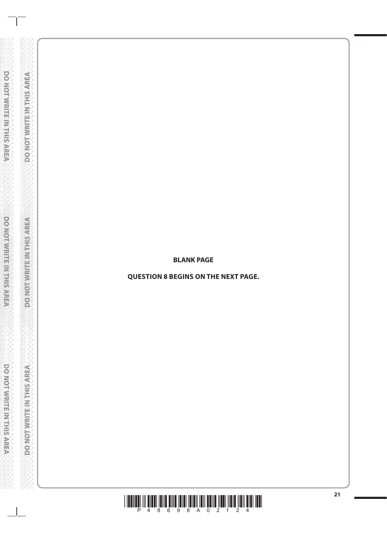#### **BLANK PAGE**

DO NOT WRITE IN THIS AREA

**DOMOTWRITEINTHISMREA** 

**DO NOTWELLE INTIKAREA** 

**QUESTION 8 BEGINS ON THE NEXT PAGE.**

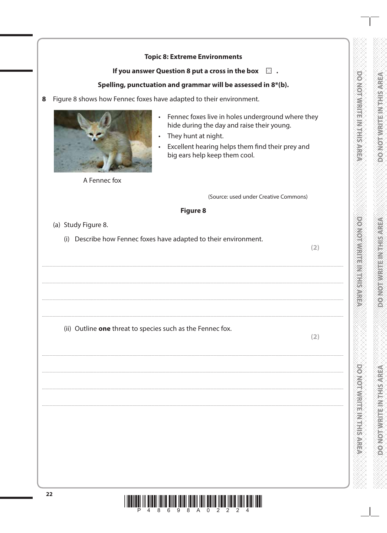|                                                                     | <b>Topic 8: Extreme Environments</b>                                                                                                                                                                        |
|---------------------------------------------------------------------|-------------------------------------------------------------------------------------------------------------------------------------------------------------------------------------------------------------|
|                                                                     | If you answer Question 8 put a cross in the box $\Box$ .                                                                                                                                                    |
| Spelling, punctuation and grammar will be assessed in 8*(b).        |                                                                                                                                                                                                             |
| Figure 8 shows how Fennec foxes have adapted to their environment.  |                                                                                                                                                                                                             |
| $\bullet$<br>A Fennec fox                                           | Fennec foxes live in holes underground where they<br>hide during the day and raise their young.<br>They hunt at night.<br>Excellent hearing helps them find their prey and<br>big ears help keep them cool. |
|                                                                     | (Source: used under Creative Commons)                                                                                                                                                                       |
|                                                                     | <b>Figure 8</b>                                                                                                                                                                                             |
| (a) Study Figure 8.                                                 |                                                                                                                                                                                                             |
| Describe how Fennec foxes have adapted to their environment.<br>(i) | (2)                                                                                                                                                                                                         |
| (ii) Outline one threat to species such as the Fennec fox.          | (2)                                                                                                                                                                                                         |

XXXX

X·X·X·X·X

**ACRIVATION CHANNON OF** 

**CONCRETE MEETING** 

KRARA

**DO NOTWART ANTIFACTOR** 

OXXXXXXXXXXXXXXXXX

KA KATA

X·X·X·

EXXXXXXXXXXXXXX



8

 $\cdots$ 

 $\ddots$ 

 $\cdots$ 

 $\ddotsc$ 

 $\ldots$ 

 $\cdots$ 

 $\cdots$ 

 $\ddotsc$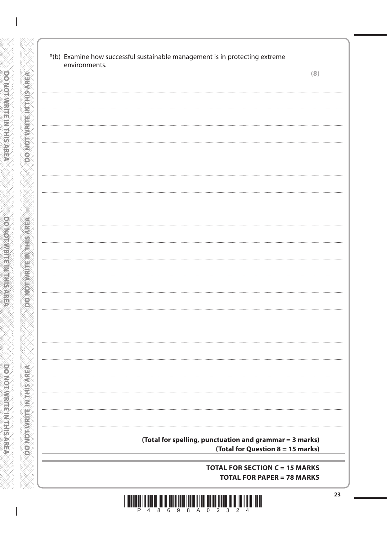| environments. |                                                         | (8) |
|---------------|---------------------------------------------------------|-----|
|               |                                                         |     |
|               |                                                         |     |
|               |                                                         |     |
|               |                                                         |     |
|               |                                                         |     |
|               |                                                         |     |
|               |                                                         |     |
|               |                                                         |     |
|               |                                                         |     |
|               |                                                         |     |
|               |                                                         |     |
|               |                                                         |     |
|               |                                                         |     |
|               |                                                         |     |
|               |                                                         |     |
|               |                                                         |     |
|               |                                                         |     |
|               |                                                         |     |
|               |                                                         |     |
|               |                                                         |     |
|               |                                                         |     |
|               |                                                         |     |
|               |                                                         |     |
|               |                                                         |     |
|               |                                                         |     |
|               |                                                         |     |
|               |                                                         |     |
|               |                                                         |     |
|               |                                                         |     |
|               |                                                         |     |
|               |                                                         |     |
|               |                                                         |     |
|               |                                                         |     |
|               |                                                         |     |
|               | (Total for spelling, punctuation and grammar = 3 marks) |     |
|               | (Total for Question 8 = 15 marks)                       |     |
|               |                                                         |     |

**DO NOT WRITE IN THIS AREA** 

**DO NOT WRITEIN THIS AREA** 

**DOMOTWRITE IN THIS AREA**